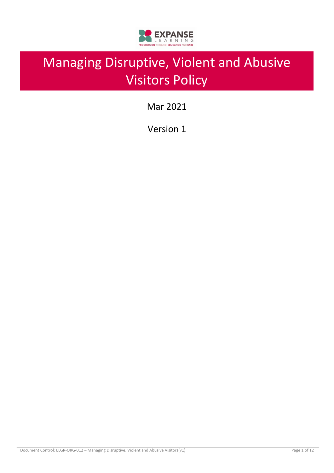

# Managing Disruptive, Violent and Abusive Visitors Policy

Mar 2021

Version 1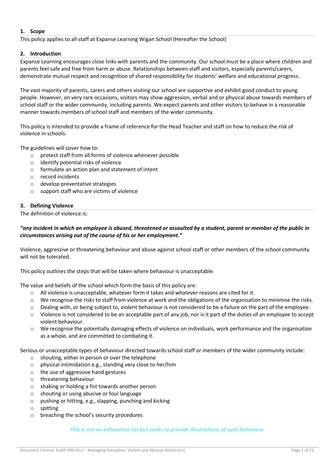#### **1. Scope**

This policy applies to all staff at Expanse Learning Wigan School (Hereafter the School)

#### **2. Introduction**

Expanse Learning encourages close links with parents and the community. Our school must be a place where children and parents feel safe and free from harm or abuse. Relationships between staff and visitors, especially parents/carers, demonstrate mutual respect and recognition of shared responsibility for students' welfare and educational progress.

The vast majority of parents, carers and others visiting our school are supportive and exhibit good conduct to young people. However, on very rare occasions, visitors may show aggression, verbal and or physical abuse towards members of school staff or the wider community, including parents. We expect parents and other visitors to behave in a reasonable manner towards members of school staff and members of the wider community.

This policy is intended to provide a frame of reference for the Head Teacher and staff on how to reduce the risk of violence in schools.

The guidelines will cover how to:

- o protect staff from all forms of violence whenever possible
- o identify potential risks of violence
- o formulate an action plan and statement of intent
- o record incidents
- o develop preventative strategies
- o support staff who are victims of violence

#### **3. Defining Violence**

The definition of violence is:

## *"any incident in which an employee is abused, threatened or assaulted by a student, parent or member of the public in circumstances arising out of the course of his or her employment."*

Violence, aggressive or threatening behaviour and abuse against school staff or other members of the school community will not be tolerated.

This policy outlines the steps that will be taken where behaviour is unacceptable.

The value and beliefs of the school which form the basis of this policy are:

- o All violence is unacceptable, whatever form it takes and whatever reasons are cited for it.
- o We recognise the risks to staff from violence at work and the obligations of the organisation to minimise the risks.
- $\circ$  Dealing with, or being subject to, violent behaviour is not considered to be a failure on the part of the employee.
- $\circ$  Violence is not considered to be an acceptable part of any job, nor is it part of the duties of an employee to accept violent behaviour.
- o We recognise the potentially damaging effects of violence on individuals, work performance and the organisation as a whole, and are committed to combating it.

Serious or unacceptable types of behaviour directed towards school staff or members of the wider community include:

- o shouting, either in person or over the telephone
- o physical intimidation e.g., standing very close to her/him
- o the use of aggressive hand gestures
- o threatening behaviour
- o shaking or holding a fist towards another person
- o shouting or using abusive or foul language
- o pushing or hitting, e.g., slapping, punching and kicking
- o spitting
- o breaching the school's security procedures

#### *This is not an exhaustive list but seeks to provide illustrations of such behaviour*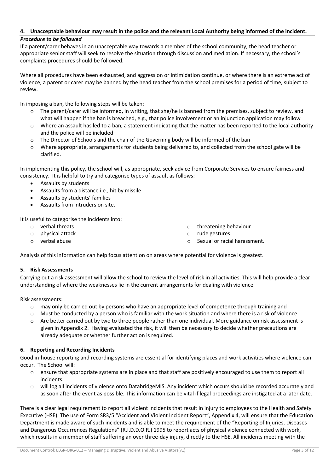# **4. Unacceptable behaviour may result in the police and the relevant Local Authority being informed of the incident.**

## *Procedure to be followed*

If a parent/carer behaves in an unacceptable way towards a member of the school community, the head teacher or appropriate senior staff will seek to resolve the situation through discussion and mediation. If necessary, the school's complaints procedures should be followed.

Where all procedures have been exhausted, and aggression or intimidation continue, or where there is an extreme act of violence, a parent or carer may be banned by the head teacher from the school premises for a period of time, subject to review.

In imposing a ban, the following steps will be taken:

- $\circ$  The parent/carer will be informed, in writing, that she/he is banned from the premises, subject to review, and what will happen if the ban is breached, e.g., that police involvement or an injunction application may follow
- $\circ$  Where an assault has led to a ban, a statement indicating that the matter has been reported to the local authority and the police will be included
- o The Director of Schools and the chair of the Governing body will be informed of the ban
- o Where appropriate, arrangements for students being delivered to, and collected from the school gate will be clarified.

In implementing this policy, the school will, as appropriate, seek advice from Corporate Services to ensure fairness and consistency. It is helpful to try and categorise types of assault as follows:

- Assaults by students
- Assaults from a distance i.e., hit by missile
- Assaults by students' families
- Assaults from intruders on site.

It is useful to categorise the incidents into:

- o verbal threats
- o physical attack
- o verbal abuse
- o threatening behaviour
- o rude gestures
- o Sexual or racial harassment.

Analysis of this information can help focus attention on areas where potential for violence is greatest.

## **5. Risk Assessments**

Carrying out a risk assessment will allow the school to review the level of risk in all activities. This will help provide a clear understanding of where the weaknesses lie in the current arrangements for dealing with violence.

Risk assessments:

- o may only be carried out by persons who have an appropriate level of competence through training and
- $\circ$  Must be conducted by a person who is familiar with the work situation and where there is a risk of violence.
- $\circ$  Are better carried out by two to three people rather than one individual. More guidance on risk assessment is given in Appendix 2. Having evaluated the risk, it will then be necessary to decide whether precautions are already adequate or whether further action is required.

## **6. Reporting and Recording Incidents**

Good in-house reporting and recording systems are essential for identifying places and work activities where violence can occur. The School will:

- o ensure that appropriate systems are in place and that staff are positively encouraged to use them to report all incidents.
- o will log all incidents of violence onto DatabridgeMIS. Any incident which occurs should be recorded accurately and as soon after the event as possible. This information can be vital if legal proceedings are instigated at a later date.

There is a clear legal requirement to report all violent incidents that result in injury to employees to the Health and Safety Executive (HSE). The use of Form SR3/5 "Accident and Violent Incident Report", Appendix 4, will ensure that the Education Department is made aware of such incidents and is able to meet the requirement of the "Reporting of Injuries, Diseases and Dangerous Occurrences Regulations" (R.I.D.D.O.R.) 1995 to report acts of physical violence connected with work, which results in a member of staff suffering an over three-day injury, directly to the HSE. All incidents meeting with the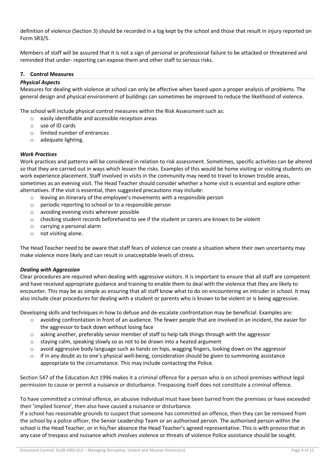definition of violence (Section 3) should be recorded in a log kept by the school and those that result in injury reported on Form SR3/5.

Members of staff will be assured that it is not a sign of personal or professional failure to be attacked or threatened and reminded that under- reporting can expose them and other staff to serious risks.

## **7. Control Measures**

## *Physical Aspects*

Measures for dealing with violence at school can only be affective when based upon a proper analysis of problems. The general design and physical environment of buildings can sometimes be improved to reduce the likelihood of violence.

The school will include physical control measures within the Risk Assessment such as:

- o easily identifiable and accessible reception areas
- o use of ID cards
- o limited number of entrances
- o adequate lighting.

#### *Work Practices*

Work practices and patterns will be considered in relation to risk assessment. Sometimes, specific activities can be altered so that they are carried out in ways which lessen the risks. Examples of this would be home visiting or visiting students on work experience placement. Staff involved in visits in the community may need to travel to known trouble areas, sometimes as an evening visit. The Head Teacher should consider whether a home visit is essential and explore other alternatives. If the visit is essential, then suggested precautions may include:

- o leaving an itinerary of the employee's movements with a responsible person
- o periodic reporting to school or to a responsible person
- o avoiding evening visits wherever possible
- o checking student records beforehand to see if the student or carers are known to be violent
- o carrying a personal alarm
- o not visiting alone.

The Head Teacher need to be aware that staff fears of violence can create a situation where their own uncertainty may make violence more likely and can result in unacceptable levels of stress.

#### *Dealing with Aggression*

Clear procedures are required when dealing with aggressive visitors. It is important to ensure that all staff are competent and have received appropriate guidance and training to enable them to deal with the violence that they are likely to encounter. This may be as simple as ensuring that all staff know what to do on encountering an intruder in school. It may also include clear procedures for dealing with a student or parents who is known to be violent or is being aggressive.

Developing skills and techniques in how to defuse and de-escalate confrontation may be beneficial. Examples are:

- o avoiding confrontation in front of an audience. The fewer people that are involved in an incident, the easier for the aggressor to back down without losing face
- $\circ$  asking another, preferably senior member of staff to help talk things through with the aggressor
- $\circ$  staying calm, speaking slowly so as not to be drawn into a heated argument
- o avoid aggressive body language such as hands on hips, wagging fingers, looking down on the aggressor
- $\circ$  if in any doubt as to one's physical well-being, consideration should be given to summoning assistance appropriate to the circumstance. This may include contacting the Police.

Section 547 of the Education Act 1996 makes it a criminal offence for a person who is on school premises without legal permission to cause or permit a nuisance or disturbance. Trespassing itself does not constitute a criminal offence.

To have committed a criminal offence, an abusive individual must have been barred from the premises or have exceeded their 'implied licence', then also have caused a nuisance or disturbance.

If a school has reasonable grounds to suspect that someone has committed an offence, then they can be removed from the school by a police officer, the Senior Leadership Team or an authorised person. The authorised person within the school is the Head Teacher, or in his/her absence the Head Teacher's agreed representative. This is with proviso that in any case of trespass and nuisance which involves violence or threats of violence Police assistance should be sought.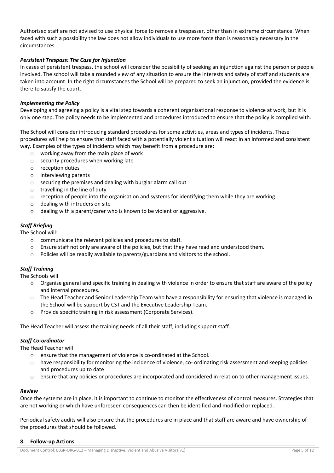Authorised staff are not advised to use physical force to remove a trespasser, other than in extreme circumstance. When faced with such a possibility the law does not allow individuals to use more force than is reasonably necessary in the circumstances.

## *Persistent Trespass: The Case for Injunction*

In cases of persistent trespass, the school will consider the possibility of seeking an injunction against the person or people involved. The school will take a rounded view of any situation to ensure the interests and safety of staff and students are taken into account. In the right circumstances the School will be prepared to seek an injunction, provided the evidence is there to satisfy the court.

## *Implementing the Policy*

Developing and agreeing a policy is a vital step towards a coherent organisational response to violence at work, but it is only one step. The policy needs to be implemented and procedures introduced to ensure that the policy is complied with.

The School will consider introducing standard procedures for some activities, areas and types of incidents. These procedures will help to ensure that staff faced with a potentially violent situation will react in an informed and consistent way. Examples of the types of incidents which may benefit from a procedure are:

- o working away from the main place of work
- o security procedures when working late
- o reception duties
- o interviewing parents
- o securing the premises and dealing with burglar alarm call out
- o travelling in the line of duty
- $\circ$  reception of people into the organisation and systems for identifying them while they are working
- o dealing with intruders on site
- o dealing with a parent/carer who is known to be violent or aggressive.

## *Staff Briefing*

The School will:

- o communicate the relevant policies and procedures to staff.
- o Ensure staff not only are aware of the policies, but that they have read and understood them.
- o Policies will be readily available to parents/guardians and visitors to the school.

## *Staff Training*

The Schools will

- o Organise general and specific training in dealing with violence in order to ensure that staff are aware of the policy and internal procedures.
- The Head Teacher and Senior Leadership Team who have a responsibility for ensuring that violence is managed in the School will be support by CST and the Executive Leadership Team.
- o Provide specific training in risk assessment (Corporate Services).

The Head Teacher will assess the training needs of all their staff, including support staff.

## *Staff Co-ordinator*

The Head Teacher will

- o ensure that the management of violence is co-ordinated at the School.
- $\circ$  have responsibility for monitoring the incidence of violence, co- ordinating risk assessment and keeping policies and procedures up to date
- o ensure that any policies or procedures are incorporated and considered in relation to other management issues.

## *Review*

Once the systems are in place, it is important to continue to monitor the effectiveness of control measures. Strategies that are not working or which have unforeseen consequences can then be identified and modified or replaced.

Periodical safety audits will also ensure that the procedures are in place and that staff are aware and have ownership of the procedures that should be followed.

#### **8. Follow-up Actions**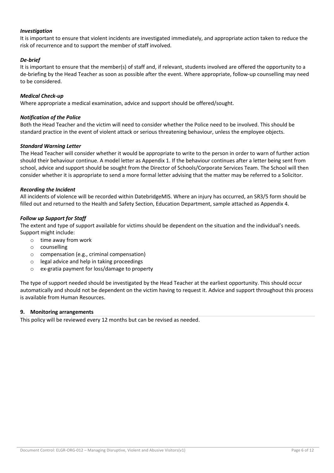## *Investigation*

It is important to ensure that violent incidents are investigated immediately, and appropriate action taken to reduce the risk of recurrence and to support the member of staff involved.

## *De-brief*

It is important to ensure that the member(s) of staff and, if relevant, students involved are offered the opportunity to a de-briefing by the Head Teacher as soon as possible after the event. Where appropriate, follow-up counselling may need to be considered.

## *Medical Check-up*

Where appropriate a medical examination, advice and support should be offered/sought.

## *Notification of the Police*

Both the Head Teacher and the victim will need to consider whether the Police need to be involved. This should be standard practice in the event of violent attack or serious threatening behaviour, unless the employee objects.

## *Standard Warning Letter*

The Head Teacher will consider whether it would be appropriate to write to the person in order to warn of further action should their behaviour continue. A model letter as Appendix 1. If the behaviour continues after a letter being sent from school, advice and support should be sought from the Director of Schools/Corporate Services Team. The School will then consider whether it is appropriate to send a more formal letter advising that the matter may be referred to a Solicitor.

## *Recording the Incident*

All incidents of violence will be recorded within DatebridgeMIS. Where an injury has occurred, an SR3/5 form should be filled out and returned to the Health and Safety Section, Education Department, sample attached as Appendix 4.

## *Follow up Support for Staff*

The extent and type of support available for victims should be dependent on the situation and the individual's needs. Support might include:

- o time away from work
- o counselling
- o compensation (e.g., criminal compensation)
- o legal advice and help in taking proceedings
- o ex-gratia payment for loss/damage to property

The type of support needed should be investigated by the Head Teacher at the earliest opportunity. This should occur automatically and should not be dependent on the victim having to request it. Advice and support throughout this process is available from Human Resources.

## **9. Monitoring arrangements**

This policy will be reviewed every 12 months but can be revised as needed.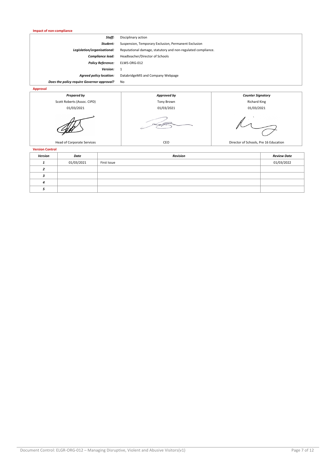| <b>Impact of non-compliance</b>            |                                                              |                                       |  |  |
|--------------------------------------------|--------------------------------------------------------------|---------------------------------------|--|--|
| Staff:                                     | Disciplinary action                                          |                                       |  |  |
| Student:                                   | Suspension, Temporary Exclusion, Permanent Exclusion         |                                       |  |  |
| Legislation/organisational:                | Reputational damage, statutory and non-regulated compliance. |                                       |  |  |
| Compliance lead:                           | Headteacher/Director of Schools                              |                                       |  |  |
| <b>Policy Reference:</b>                   | ELWS-ORG-012                                                 |                                       |  |  |
| Version:                                   | 1                                                            |                                       |  |  |
| <b>Agreed policy location:</b>             | DatabridgeMIS and Company Webpage                            |                                       |  |  |
| Does the policy require Governor approval? | No                                                           |                                       |  |  |
| <b>Approval</b>                            |                                                              |                                       |  |  |
| <b>Prepared by</b>                         | Approved by                                                  | <b>Counter Signatory</b>              |  |  |
| Scott Roberts (Assoc. CIPD)                | <b>Tony Brown</b>                                            | <b>Richard King</b>                   |  |  |
| 01/03/2021                                 | 01/03/2021<br>01/03/2021                                     |                                       |  |  |
|                                            |                                                              |                                       |  |  |
| Head of Corporate Services                 | CEO                                                          | Director of Schools, Pre 16 Education |  |  |

**Version Control**

| -------- <i>-</i> ----- |            |                 |                    |  |  |
|-------------------------|------------|-----------------|--------------------|--|--|
| Version                 | Date       | <b>Revision</b> | <b>Review Date</b> |  |  |
|                         | 01/03/2021 | First Issue     | 01/03/2022         |  |  |
|                         |            |                 |                    |  |  |
|                         |            |                 |                    |  |  |
| 4                       |            |                 |                    |  |  |
|                         |            |                 |                    |  |  |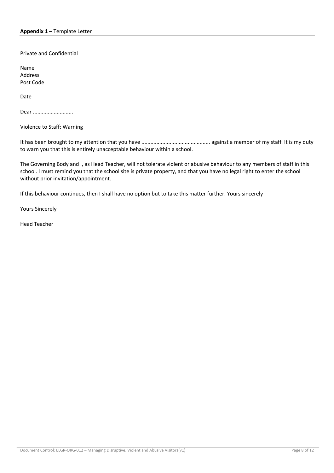Private and Confidential

Name Address Post Code

Date

Dear ............................

Violence to Staff: Warning

It has been brought to my attention that you have .............................................. against a member of my staff. It is my duty to warn you that this is entirely unacceptable behaviour within a school.

The Governing Body and I, as Head Teacher, will not tolerate violent or abusive behaviour to any members of staff in this school. I must remind you that the school site is private property, and that you have no legal right to enter the school without prior invitation/appointment.

If this behaviour continues, then I shall have no option but to take this matter further. Yours sincerely

Yours Sincerely

Head Teacher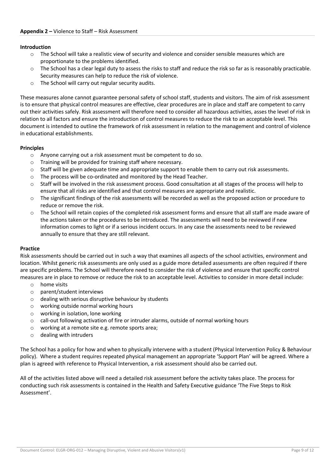#### **Introduction**

- $\circ$  The School will take a realistic view of security and violence and consider sensible measures which are proportionate to the problems identified.
- $\circ$  The School has a clear legal duty to assess the risks to staff and reduce the risk so far as is reasonably practicable. Security measures can help to reduce the risk of violence.
- o The School will carry out regular security audits.

These measures alone cannot guarantee personal safety of school staff, students and visitors. The aim of risk assessment is to ensure that physical control measures are effective, clear procedures are in place and staff are competent to carry out their activities safely. Risk assessment will therefore need to consider all hazardous activities, asses the level of risk in relation to all factors and ensure the introduction of control measures to reduce the risk to an acceptable level. This document is intended to outline the framework of risk assessment in relation to the management and control of violence in educational establishments.

#### **Principles**

- o Anyone carrying out a risk assessment must be competent to do so.
- o Training will be provided for training staff where necessary.
- $\circ$  Staff will be given adequate time and appropriate support to enable them to carry out risk assessments.
- o The process will be co-ordinated and monitored by the Head Teacher.
- $\circ$  Staff will be involved in the risk assessment process. Good consultation at all stages of the process will help to ensure that all risks are identified and that control measures are appropriate and realistic.
- o The significant findings of the risk assessments will be recorded as well as the proposed action or procedure to reduce or remove the risk.
- $\circ$  The School will retain copies of the completed risk assessment forms and ensure that all staff are made aware of the actions taken or the procedures to be introduced. The assessments will need to be reviewed if new information comes to light or if a serious incident occurs. In any case the assessments need to be reviewed annually to ensure that they are still relevant.

#### **Practice**

Risk assessments should be carried out in such a way that examines all aspects of the school activities, environment and location. Whilst generic risk assessments are only used as a guide more detailed assessments are often required if there are specific problems. The School will therefore need to consider the risk of violence and ensure that specific control measures are in place to remove or reduce the risk to an acceptable level. Activities to consider in more detail include:

- o home visits
- o parent/student interviews
- $\circ$  dealing with serious disruptive behaviour by students
- o working outside normal working hours
- o working in isolation, lone working
- o call-out following activation of fire or intruder alarms, outside of normal working hours
- o working at a remote site e.g. remote sports area;
- o dealing with intruders

The School has a policy for how and when to physically intervene with a student (Physical Intervention Policy & Behaviour policy). Where a student requires repeated physical management an appropriate 'Support Plan' will be agreed. Where a plan is agreed with reference to Physical Intervention, a risk assessment should also be carried out.

All of the activities listed above will need a detailed risk assessment before the activity takes place. The process for conducting such risk assessments is contained in the Health and Safety Executive guidance 'The Five Steps to Risk Assessment'.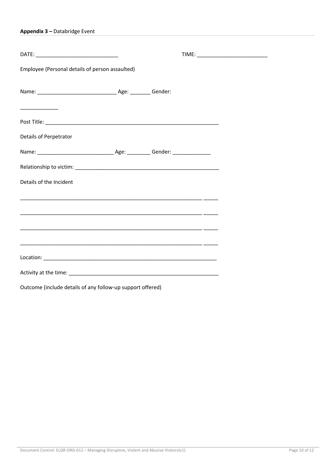|  |  | Appendix 3 - Databridge Event |  |
|--|--|-------------------------------|--|
|--|--|-------------------------------|--|

| Employee (Personal details of person assaulted)                        |  |  |
|------------------------------------------------------------------------|--|--|
|                                                                        |  |  |
|                                                                        |  |  |
|                                                                        |  |  |
| Details of Perpetrator                                                 |  |  |
|                                                                        |  |  |
|                                                                        |  |  |
| Details of the Incident                                                |  |  |
| <u> 1990 - Jan James James Bernson, Amerikaansk politiker (* 1902)</u> |  |  |
|                                                                        |  |  |
|                                                                        |  |  |
| <u> 1999 - Jan Barnett, fransk politik (d. 1989)</u>                   |  |  |
|                                                                        |  |  |
|                                                                        |  |  |
|                                                                        |  |  |
| Outcome (include details of any follow-up support offered)             |  |  |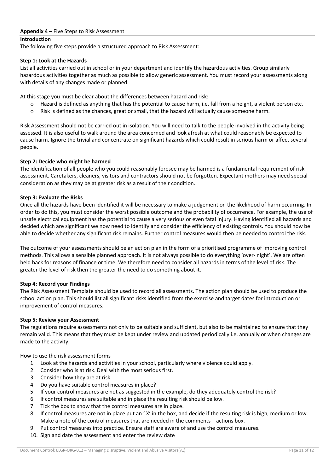#### **Appendix 4 –** Five Steps to Risk Assessment

## **Introduction**

The following five steps provide a structured approach to Risk Assessment:

#### **Step 1: Look at the Hazards**

List all activities carried out in school or in your department and identify the hazardous activities. Group similarly hazardous activities together as much as possible to allow generic assessment. You must record your assessments along with details of any changes made or planned.

At this stage you must be clear about the differences between hazard and risk:

- $\circ$  Hazard is defined as anything that has the potential to cause harm, i.e. fall from a height, a violent person etc.
- o Risk is defined as the chances, great or small, that the hazard will actually cause someone harm.

Risk Assessment should not be carried out in isolation. You will need to talk to the people involved in the activity being assessed. It is also useful to walk around the area concerned and look afresh at what could reasonably be expected to cause harm. Ignore the trivial and concentrate on significant hazards which could result in serious harm or affect several people.

#### **Step 2: Decide who might be harmed**

The identification of all people who you could reasonably foresee may be harmed is a fundamental requirement of risk assessment. Caretakers, cleaners, visitors and contractors should not be forgotten. Expectant mothers may need special consideration as they may be at greater risk as a result of their condition.

#### **Step 3: Evaluate the Risks**

Once all the hazards have been identified it will be necessary to make a judgement on the likelihood of harm occurring. In order to do this, you must consider the worst possible outcome and the probability of occurrence. For example, the use of unsafe electrical equipment has the potential to cause a very serious or even fatal injury. Having identified all hazards and decided which are significant we now need to identify and consider the efficiency of existing controls. You should now be able to decide whether any significant risk remains. Further control measures would then be needed to control the risk.

The outcome of your assessments should be an action plan in the form of a prioritised programme of improving control methods. This allows a sensible planned approach. It is not always possible to do everything 'over- night'. We are often held back for reasons of finance or time. We therefore need to consider all hazards in terms of the level of risk. The greater the level of risk then the greater the need to do something about it.

#### **Step 4: Record your Findings**

The Risk Assessment Template should be used to record all assessments. The action plan should be used to produce the school action plan. This should list all significant risks identified from the exercise and target dates for introduction or improvement of control measures.

#### **Step 5: Review your Assessment**

The regulations require assessments not only to be suitable and sufficient, but also to be maintained to ensure that they remain valid. This means that they must be kept under review and updated periodically i.e. annually or when changes are made to the activity.

How to use the risk assessment forms

- 1. Look at the hazards and activities in your school, particularly where violence could apply.
- 2. Consider who is at risk. Deal with the most serious first.
- 3. Consider how they are at risk.
- 4. Do you have suitable control measures in place?
- 5. If your control measures are not as suggested in the example, do they adequately control the risk?
- 6. If control measures are suitable and in place the resulting risk should be low.
- 7. Tick the box to show that the control measures are in place.
- 8. If control measures are not in place put an ' X' in the box, and decide if the resulting risk is high, medium or low. Make a note of the control measures that are needed in the comments – actions box.
- 9. Put control measures into practice. Ensure staff are aware of and use the control measures.
- 10. Sign and date the assessment and enter the review date